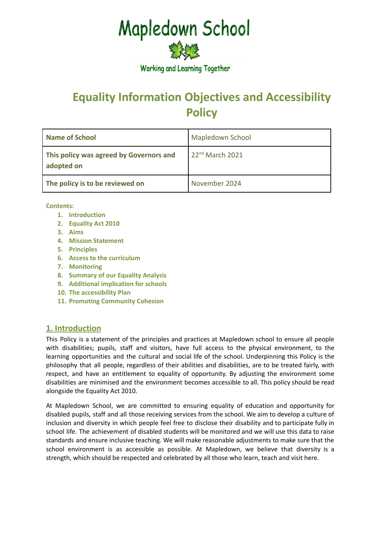# **Mapledown School**



**Working and Learning Together** 

# **Equality Information Objectives and Accessibility Policy**

| <b>Name of School</b>                                 | Mapledown School  |
|-------------------------------------------------------|-------------------|
| This policy was agreed by Governors and<br>adopted on | $22nd$ March 2021 |
| The policy is to be reviewed on                       | November 2024     |

**Contents:**

- **1. Introduction**
- **2. Equality Act 2010**
- **3. Aims**
- **4. Mission Statement**
- **5. Principles**
- **6. Access to the curriculum**
- **7. Monitoring**
- **8. Summary of our Equality Analysis**
- **9. Additional implication for schools**
- **10. The accessibility Plan**
- **11. Promoting Community Cohesion**

# **1. Introduction**

This Policy is a statement of the principles and practices at Mapledown school to ensure all people with disabilities; pupils, staff and visitors, have full access to the physical environment, to the learning opportunities and the cultural and social life of the school. Underpinning this Policy is the philosophy that all people, regardless of their abilities and disabilities, are to be treated fairly, with respect, and have an entitlement to equality of opportunity. By adjusting the environment some disabilities are minimised and the environment becomes accessible to all. This policy should be read alongside the Equality Act 2010.

At Mapledown School, we are committed to ensuring equality of education and opportunity for disabled pupils, staff and all those receiving services from the school. We aim to develop a culture of inclusion and diversity in which people feel free to disclose their disability and to participate fully in school life. The achievement of disabled students will be monitored and we will use this data to raise standards and ensure inclusive teaching. We will make reasonable adjustments to make sure that the school environment is as accessible as possible. At Mapledown, we believe that diversity is a strength, which should be respected and celebrated by all those who learn, teach and visit here.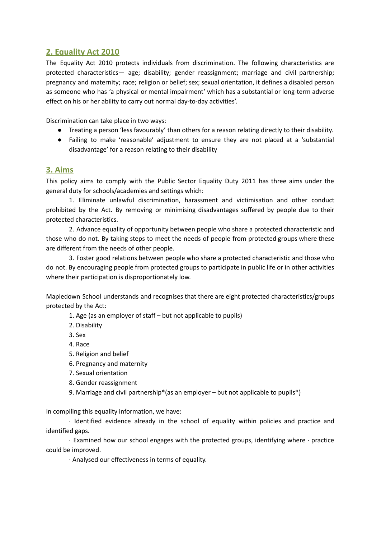# **2. Equality Act 2010**

The Equality Act 2010 protects individuals from discrimination. The following characteristics are protected characteristics— age; disability; gender reassignment; marriage and civil partnership; pregnancy and maternity; race; religion or belief; sex; sexual orientation, it defines a disabled person as someone who has 'a physical or mental impairment' which has a substantial or long-term adverse effect on his or her ability to carry out normal day-to-day activities'.

Discrimination can take place in two ways:

- Treating a person 'less favourably' than others for a reason relating directly to their disability.
- Failing to make 'reasonable' adjustment to ensure they are not placed at a 'substantial disadvantage' for a reason relating to their disability

#### **3. Aims**

This policy aims to comply with the Public Sector Equality Duty 2011 has three aims under the general duty for schools/academies and settings which:

1. Eliminate unlawful discrimination, harassment and victimisation and other conduct prohibited by the Act. By removing or minimising disadvantages suffered by people due to their protected characteristics.

2. Advance equality of opportunity between people who share a protected characteristic and those who do not. By taking steps to meet the needs of people from protected groups where these are different from the needs of other people.

3. Foster good relations between people who share a protected characteristic and those who do not. By encouraging people from protected groups to participate in public life or in other activities where their participation is disproportionately low.

Mapledown School understands and recognises that there are eight protected characteristics/groups protected by the Act:

1. Age (as an employer of staff – but not applicable to pupils)

2. Disability

3. Sex

4. Race

- 5. Religion and belief
- 6. Pregnancy and maternity
- 7. Sexual orientation
- 8. Gender reassignment
- 9. Marriage and civil partnership\*(as an employer but not applicable to pupils\*)

In compiling this equality information, we have:

· Identified evidence already in the school of equality within policies and practice and identified gaps.

· Examined how our school engages with the protected groups, identifying where · practice could be improved.

· Analysed our effectiveness in terms of equality.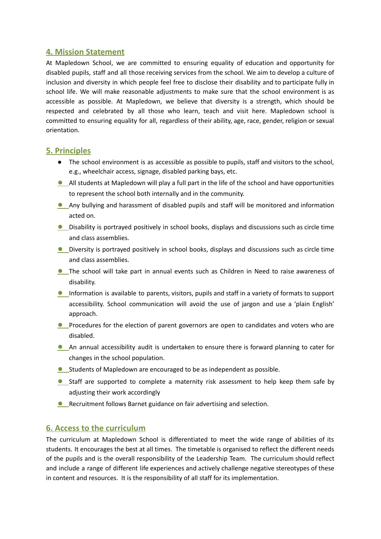### **4. Mission Statement**

At Mapledown School, we are committed to ensuring equality of education and opportunity for disabled pupils, staff and all those receiving services from the school. We aim to develop a culture of inclusion and diversity in which people feel free to disclose their disability and to participate fully in school life. We will make reasonable adjustments to make sure that the school environment is as accessible as possible. At Mapledown, we believe that diversity is a strength, which should be respected and celebrated by all those who learn, teach and visit here. Mapledown school is committed to ensuring equality for all, regardless of their ability, age, race, gender, religion or sexual orientation.

# **5. Principles**

- The school environment is as accessible as possible to pupils, staff and visitors to the school, e.g., wheelchair access, signage, disabled parking bays, etc.
- **●** All students at Mapledown will play a full part in the life of the school and have opportunities to represent the school both internally and in the community.
- **●** Any bullying and harassment of disabled pupils and staff will be monitored and information acted on.
- **●** Disability is portrayed positively in school books, displays and discussions such as circle time and class assemblies.
- **●** Diversity is portrayed positively in school books, displays and discussions such as circle time and class assemblies.
- **●** The school will take part in annual events such as Children in Need to raise awareness of disability.
- **●** Information is available to parents, visitors, pupils and staff in a variety of formats to support accessibility. School communication will avoid the use of jargon and use a 'plain English' approach.
- **•** Procedures for the election of parent governors are open to candidates and voters who are disabled.
- **●** An annual accessibility audit is undertaken to ensure there is forward planning to cater for changes in the school population.
- **●** Students of Mapledown are encouraged to be as independent as possible.
- **●** Staff are supported to complete a maternity risk assessment to help keep them safe by adjusting their work accordingly
- **●** Recruitment follows Barnet guidance on fair advertising and selection.

#### **6. Access to the curriculum**

The curriculum at Mapledown School is differentiated to meet the wide range of abilities of its students. It encourages the best at all times. The timetable is organised to reflect the different needs of the pupils and is the overall responsibility of the Leadership Team. The curriculum should reflect and include a range of different life experiences and actively challenge negative stereotypes of these in content and resources. It is the responsibility of all staff for its implementation.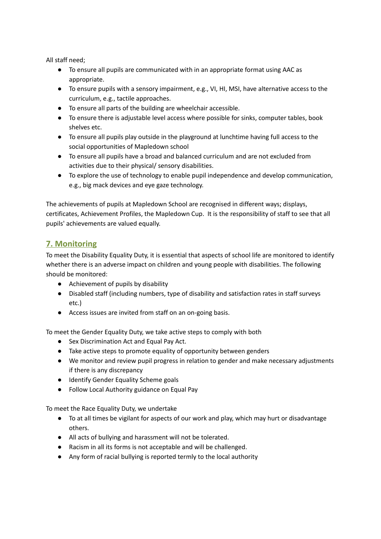All staff need;

- To ensure all pupils are communicated with in an appropriate format using AAC as appropriate.
- To ensure pupils with a sensory impairment, e.g., VI, HI, MSI, have alternative access to the curriculum, e.g., tactile approaches.
- To ensure all parts of the building are wheelchair accessible.
- To ensure there is adjustable level access where possible for sinks, computer tables, book shelves etc.
- To ensure all pupils play outside in the playground at lunchtime having full access to the social opportunities of Mapledown school
- To ensure all pupils have a broad and balanced curriculum and are not excluded from activities due to their physical/ sensory disabilities.
- To explore the use of technology to enable pupil independence and develop communication, e.g., big mack devices and eye gaze technology.

The achievements of pupils at Mapledown School are recognised in different ways; displays, certificates, Achievement Profiles, the Mapledown Cup. It is the responsibility of staff to see that all pupils' achievements are valued equally.

# **7. Monitoring**

To meet the Disability Equality Duty, it is essential that aspects of school life are monitored to identify whether there is an adverse impact on children and young people with disabilities. The following should be monitored:

- Achievement of pupils by disability
- Disabled staff (including numbers, type of disability and satisfaction rates in staff surveys etc.)
- Access issues are invited from staff on an on-going basis.

To meet the Gender Equality Duty, we take active steps to comply with both

- Sex Discrimination Act and Equal Pay Act.
- Take active steps to promote equality of opportunity between genders
- We monitor and review pupil progress in relation to gender and make necessary adjustments if there is any discrepancy
- Identify Gender Equality Scheme goals
- Follow Local Authority guidance on Equal Pay

To meet the Race Equality Duty, we undertake

- To at all times be vigilant for aspects of our work and play, which may hurt or disadvantage others.
- All acts of bullying and harassment will not be tolerated.
- Racism in all its forms is not acceptable and will be challenged.
- Any form of racial bullying is reported termly to the local authority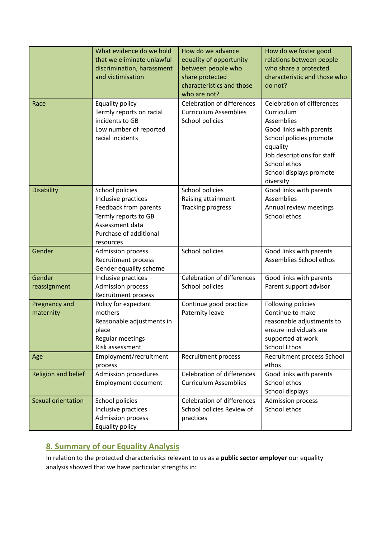| Race                       | What evidence do we hold<br>that we eliminate unlawful<br>discrimination, harassment<br>and victimisation<br>Equality policy<br>Termly reports on racial<br>incidents to GB<br>Low number of reported<br>racial incidents | How do we advance<br>equality of opportunity<br>between people who<br>share protected<br>characteristics and those<br>who are not?<br><b>Celebration of differences</b><br><b>Curriculum Assemblies</b><br>School policies | How do we foster good<br>relations between people<br>who share a protected<br>characteristic and those who<br>do not?<br><b>Celebration of differences</b><br>Curriculum<br>Assemblies<br>Good links with parents<br>School policies promote<br>equality<br>Job descriptions for staff |
|----------------------------|---------------------------------------------------------------------------------------------------------------------------------------------------------------------------------------------------------------------------|----------------------------------------------------------------------------------------------------------------------------------------------------------------------------------------------------------------------------|----------------------------------------------------------------------------------------------------------------------------------------------------------------------------------------------------------------------------------------------------------------------------------------|
|                            |                                                                                                                                                                                                                           |                                                                                                                                                                                                                            | School ethos<br>School displays promote<br>diversity                                                                                                                                                                                                                                   |
| <b>Disability</b>          | School policies<br>Inclusive practices<br>Feedback from parents<br>Termly reports to GB<br>Assessment data<br>Purchase of additional<br>resources                                                                         | School policies<br>Raising attainment<br>Tracking progress                                                                                                                                                                 | Good links with parents<br>Assemblies<br>Annual review meetings<br>School ethos                                                                                                                                                                                                        |
| Gender                     | <b>Admission process</b><br>Recruitment process<br>Gender equality scheme                                                                                                                                                 | School policies                                                                                                                                                                                                            | Good links with parents<br>Assemblies School ethos                                                                                                                                                                                                                                     |
| Gender<br>reassignment     | Inclusive practices<br>Admission process<br>Recruitment process                                                                                                                                                           | <b>Celebration of differences</b><br>School policies                                                                                                                                                                       | Good links with parents<br>Parent support advisor                                                                                                                                                                                                                                      |
| Pregnancy and<br>maternity | Policy for expectant<br>mothers<br>Reasonable adjustments in<br>place<br>Regular meetings<br>Risk assessment                                                                                                              | Continue good practice<br>Paternity leave                                                                                                                                                                                  | Following policies<br>Continue to make<br>reasonable adjustments to<br>ensure individuals are<br>supported at work<br><b>School Ethos</b>                                                                                                                                              |
| Age                        | Employment/recruitment<br>process                                                                                                                                                                                         | Recruitment process                                                                                                                                                                                                        | Recruitment process School<br>ethos                                                                                                                                                                                                                                                    |
| Religion and belief        | Admission procedures<br><b>Employment document</b>                                                                                                                                                                        | <b>Celebration of differences</b><br><b>Curriculum Assemblies</b>                                                                                                                                                          | Good links with parents<br>School ethos<br>School displays                                                                                                                                                                                                                             |
| Sexual orientation         | School policies<br>Inclusive practices<br><b>Admission process</b><br>Equality policy                                                                                                                                     | <b>Celebration of differences</b><br>School policies Review of<br>practices                                                                                                                                                | <b>Admission process</b><br>School ethos                                                                                                                                                                                                                                               |

# **8. Summary of our Equality Analysis**

In relation to the protected characteristics relevant to us as a **public sector employer** our equality analysis showed that we have particular strengths in: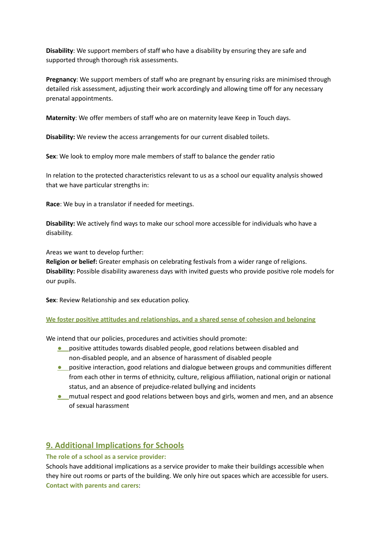**Disability**: We support members of staff who have a disability by ensuring they are safe and supported through thorough risk assessments.

**Pregnancy**: We support members of staff who are pregnant by ensuring risks are minimised through detailed risk assessment, adjusting their work accordingly and allowing time off for any necessary prenatal appointments.

**Maternity**: We offer members of staff who are on maternity leave Keep in Touch days.

**Disability:** We review the access arrangements for our current disabled toilets.

**Sex**: We look to employ more male members of staff to balance the gender ratio

In relation to the protected characteristics relevant to us as a school our equality analysis showed that we have particular strengths in:

**Race**: We buy in a translator if needed for meetings.

**Disability:** We actively find ways to make our school more accessible for individuals who have a disability.

Areas we want to develop further:

**Religion or belief:** Greater emphasis on celebrating festivals from a wider range of religions. **Disability:** Possible disability awareness days with invited guests who provide positive role models for our pupils.

**Sex**: Review Relationship and sex education policy.

#### **We foster positive attitudes and relationships, and a shared sense of cohesion and belonging**

We intend that our policies, procedures and activities should promote:

- **●** positive attitudes towards disabled people, good relations between disabled and non-disabled people, and an absence of harassment of disabled people
- **•** positive interaction, good relations and dialogue between groups and communities different from each other in terms of ethnicity, culture, religious affiliation, national origin or national status, and an absence of prejudice-related bullying and incidents
- **●** mutual respect and good relations between boys and girls, women and men, and an absence of sexual harassment

# **9. Additional Implications for Schools**

#### **The role of a school as a service provider:**

Schools have additional implications as a service provider to make their buildings accessible when they hire out rooms or parts of the building. We only hire out spaces which are accessible for users. **Contact with parents and carers**: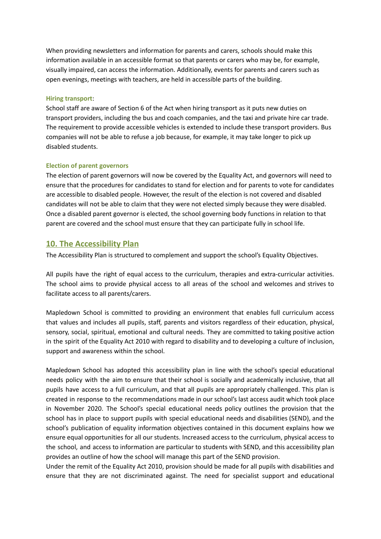When providing newsletters and information for parents and carers, schools should make this information available in an accessible format so that parents or carers who may be, for example, visually impaired, can access the information. Additionally, events for parents and carers such as open evenings, meetings with teachers, are held in accessible parts of the building.

#### **Hiring transport**:

School staff are aware of Section 6 of the Act when hiring transport as it puts new duties on transport providers, including the bus and coach companies, and the taxi and private hire car trade. The requirement to provide accessible vehicles is extended to include these transport providers. Bus companies will not be able to refuse a job because, for example, it may take longer to pick up disabled students.

#### **Election of parent governors**

The election of parent governors will now be covered by the Equality Act, and governors will need to ensure that the procedures for candidates to stand for election and for parents to vote for candidates are accessible to disabled people. However, the result of the election is not covered and disabled candidates will not be able to claim that they were not elected simply because they were disabled. Once a disabled parent governor is elected, the school governing body functions in relation to that parent are covered and the school must ensure that they can participate fully in school life.

#### **10. The Accessibility Plan**

The Accessibility Plan is structured to complement and support the school's Equality Objectives.

All pupils have the right of equal access to the curriculum, therapies and extra-curricular activities. The school aims to provide physical access to all areas of the school and welcomes and strives to facilitate access to all parents/carers.

Mapledown School is committed to providing an environment that enables full curriculum access that values and includes all pupils, staff, parents and visitors regardless of their education, physical, sensory, social, spiritual, emotional and cultural needs. They are committed to taking positive action in the spirit of the Equality Act 2010 with regard to disability and to developing a culture of inclusion, support and awareness within the school.

Mapledown School has adopted this accessibility plan in line with the school's special educational needs policy with the aim to ensure that their school is socially and academically inclusive, that all pupils have access to a full curriculum, and that all pupils are appropriately challenged. This plan is created in response to the recommendations made in our school's last access audit which took place in November 2020. The School's special educational needs policy outlines the provision that the school has in place to support pupils with special educational needs and disabilities (SEND), and the school's publication of equality information objectives contained in this document explains how we ensure equal opportunities for all our students. Increased access to the curriculum, physical access to the school, and access to information are particular to students with SEND, and this accessibility plan provides an outline of how the school will manage this part of the SEND provision.

Under the remit of the Equality Act 2010, provision should be made for all pupils with disabilities and ensure that they are not discriminated against. The need for specialist support and educational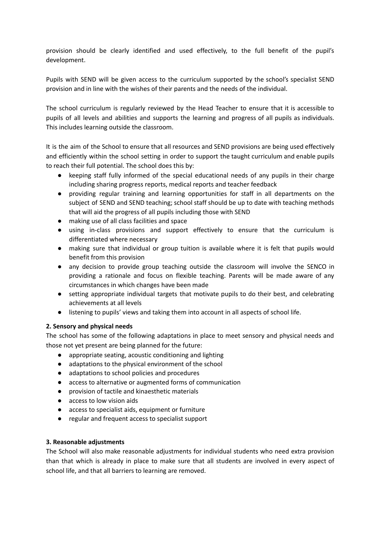provision should be clearly identified and used effectively, to the full benefit of the pupil's development.

Pupils with SEND will be given access to the curriculum supported by the school's specialist SEND provision and in line with the wishes of their parents and the needs of the individual.

The school curriculum is regularly reviewed by the Head Teacher to ensure that it is accessible to pupils of all levels and abilities and supports the learning and progress of all pupils as individuals. This includes learning outside the classroom.

It is the aim of the School to ensure that all resources and SEND provisions are being used effectively and efficiently within the school setting in order to support the taught curriculum and enable pupils to reach their full potential. The school does this by:

- keeping staff fully informed of the special educational needs of any pupils in their charge including sharing progress reports, medical reports and teacher feedback
- providing regular training and learning opportunities for staff in all departments on the subject of SEND and SEND teaching; school staff should be up to date with teaching methods that will aid the progress of all pupils including those with SEND
- making use of all class facilities and space
- using in-class provisions and support effectively to ensure that the curriculum is differentiated where necessary
- making sure that individual or group tuition is available where it is felt that pupils would benefit from this provision
- any decision to provide group teaching outside the classroom will involve the SENCO in providing a rationale and focus on flexible teaching. Parents will be made aware of any circumstances in which changes have been made
- setting appropriate individual targets that motivate pupils to do their best, and celebrating achievements at all levels
- listening to pupils' views and taking them into account in all aspects of school life.

#### **2. Sensory and physical needs**

The school has some of the following adaptations in place to meet sensory and physical needs and those not yet present are being planned for the future:

- appropriate seating, acoustic conditioning and lighting
- adaptations to the physical environment of the school
- adaptations to school policies and procedures
- access to alternative or augmented forms of communication
- provision of tactile and kinaesthetic materials
- access to low vision aids
- access to specialist aids, equipment or furniture
- regular and frequent access to specialist support

#### **3. Reasonable adjustments**

The School will also make reasonable adjustments for individual students who need extra provision than that which is already in place to make sure that all students are involved in every aspect of school life, and that all barriers to learning are removed.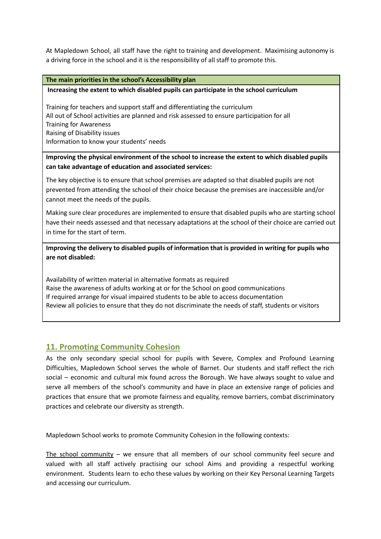At Mapledown School, all staff have the right to training and development. Maximising autonomy is a driving force in the school and it is the responsibility of all staff to promote this.

#### **The main priorities in the school's Accessibility plan**

#### **Increasing the extent to which disabled pupils can participate in the school curriculum**

Training for teachers and support staff and differentiating the curriculum All out of School activities are planned and risk assessed to ensure participation for all Training for Awareness Raising of Disability issues Information to know your students' needs

#### **Improving the physical environment of the school to increase the extent to which disabled pupils can take advantage of education and associated services:**

The key objective is to ensure that school premises are adapted so that disabled pupils are not prevented from attending the school of their choice because the premises are inaccessible and/or cannot meet the needs of the pupils.

Making sure clear procedures are implemented to ensure that disabled pupils who are starting school have their needs assessed and that necessary adaptations at the school of their choice are carried out in time for the start of term.

**Improving the delivery to disabled pupils of information that is provided in writing for pupils who are not disabled:**

Availability of written material in alternative formats as required Raise the awareness of adults working at or for the School on good communications If required arrange for visual impaired students to be able to access documentation Review all policies to ensure that they do not discriminate the needs of staff, students or visitors

# **11. Promoting Community Cohesion**

As the only secondary special school for pupils with Severe, Complex and Profound Learning Difficulties, Mapledown School serves the whole of Barnet. Our students and staff reflect the rich social – economic and cultural mix found across the Borough. We have always sought to value and serve all members of the school's community and have in place an extensive range of policies and practices that ensure that we promote fairness and equality, remove barriers, combat discriminatory practices and celebrate our diversity as strength.

Mapledown School works to promote Community Cohesion in the following contexts:

The school community – we ensure that all members of our school community feel secure and valued with all staff actively practising our school Aims and providing a respectful working environment. Students learn to echo these values by working on their Key Personal Learning Targets and accessing our curriculum.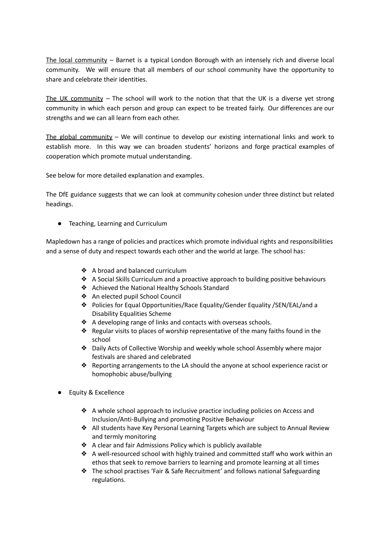The local community – Barnet is a typical London Borough with an intensely rich and diverse local community. We will ensure that all members of our school community have the opportunity to share and celebrate their identities.

The UK community – The school will work to the notion that that the UK is a diverse yet strong community in which each person and group can expect to be treated fairly. Our differences are our strengths and we can all learn from each other.

The global community – We will continue to develop our existing international links and work to establish more. In this way we can broaden students' horizons and forge practical examples of cooperation which promote mutual understanding.

See below for more detailed explanation and examples.

The DfE guidance suggests that we can look at community cohesion under three distinct but related headings.

● Teaching, Learning and Curriculum

Mapledown has a range of policies and practices which promote individual rights and responsibilities and a sense of duty and respect towards each other and the world at large. The school has:

- ❖ A broad and balanced curriculum
- ❖ A Social Skills Curriculum and a proactive approach to building positive behaviours
- ❖ Achieved the National Healthy Schools Standard
- ❖ An elected pupil School Council
- ❖ Policies for Equal Opportunities/Race Equality/Gender Equality /SEN/EAL/and a Disability Equalities Scheme
- ❖ A developing range of links and contacts with overseas schools.
- ❖ Regular visits to places of worship representative of the many faiths found in the school
- ❖ Daily Acts of Collective Worship and weekly whole school Assembly where major festivals are shared and celebrated
- ❖ Reporting arrangements to the LA should the anyone at school experience racist or homophobic abuse/bullying
- **Equity & Excellence** 
	- ❖ A whole school approach to inclusive practice including policies on Access and Inclusion/Anti-Bullying and promoting Positive Behaviour
	- ❖ All students have Key Personal Learning Targets which are subject to Annual Review and termly monitoring
	- ❖ A clear and fair Admissions Policy which is publicly available
	- ❖ A well-resourced school with highly trained and committed staff who work within an ethos that seek to remove barriers to learning and promote learning at all times
	- ❖ The school practises 'Fair & Safe Recruitment' and follows national Safeguarding regulations.